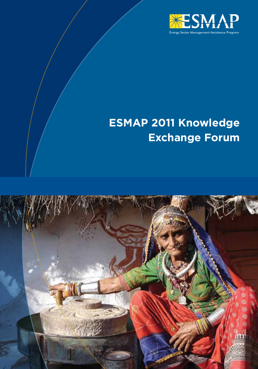

# **ESMAP 2011 Knowledge Exchange Forum**

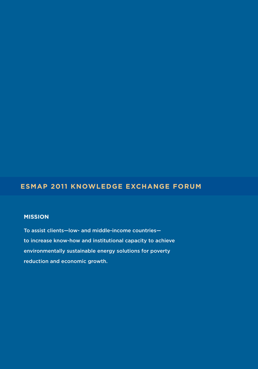## **ESMAP 2011 Knowledge Exchange Forum**

## **MISSION**

To assist clients—low- and middle-income countries to increase know-how and institutional capacity to achieve environmentally sustainable energy solutions for poverty reduction and economic growth.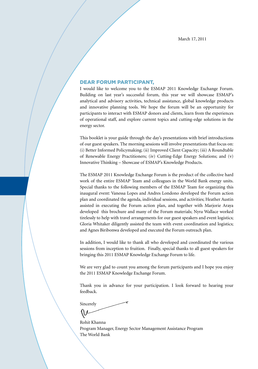## Dear Forum participant,

I would like to welcome you to the ESMAP 2011 Knowledge Exchange Forum. Building on last year's successful forum, this year we will showcase ESMAP's analytical and advisory activities, technical assistance, global knowledge products and innovative planning tools. We hope the forum will be an opportunity for participants to interact with ESMAP donors and clients, learn from the experiences of operational staff, and explore current topics and cutting-edge solutions in the energy sector.

This booklet is your guide through the day's presentations with brief introductions of our guest speakers. The morning sessions will involve presentations that focus on: (i) Better Informed Policymaking; (ii) Improved Client Capacity; (iii) A Roundtable of Renewable Energy Practitioners; (iv) Cutting-Edge Energy Solutions; and (v) Innovative Thinking – Showcase of ESMAP's Knowledge Products.

The ESMAP 2011 Knowledge Exchange Forum is the product of the collective hard work of the entire ESMAP Team and colleagues in the World Bank energy units. Special thanks to the following members of the ESMAP Team for organizing this inaugural event: Vanessa Lopes and Andres Londono developed the Forum action plan and coordinated the agenda, individual sessions, and activities; Heather Austin assisted in executing the Forum action plan, and together with Marjorie Araya developed this brochure and many of the Forum materials; Nyra Wallace worked tirelessly to help with travel arrangements for our guest speakers and event logistics; Gloria Whitaker diligently assisted the team with event coordination and logistics; and Agnes Biribonwa developed and executed the Forum outreach plan.

In addition, I would like to thank all who developed and coordinated the various sessions from inception to fruition. Finally, special thanks to all guest speakers for bringing this 2011 ESMAP Knowledge Exchange Forum to life.

We are very glad to count you among the forum participants and I hope you enjoy the 2011 ESMAP Knowledge Exchange Forum.

Thank you in advance for your participation. I look forward to hearing your feedback.

Sincerely

Rohit Khanna Program Manager, Energy Sector Management Assistance Program The World Bank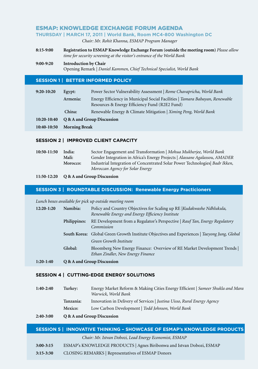## ESMAP: KNOWLEDGE EXCHANGE FORUM AGENDA

#### **THURSDAY | MARCH 17, 2011 | World Bank, Room MC4-800 Washington DC**

*Chair: Mr. Rohit Khanna, ESMAP Program Manager* 

- **8:15-9:00 Registration to ESMAP Knowledge Exchange Forum (outside the meeting room)** *Please allow time for security screening at the visitor's entrance of the World Bank*
- **9:00-9:20 Introduction by Chair**  Opening Remark | *Daniel Kammen, Chief Technical Specialist, World Bank*

#### **SESSION 1 | BETTER INFORMED POLICY**

| $9:20-10:20$ | Egypt:                     | Power Sector Vulnerability Assessment   Rome Chavapricha, World Bank         |
|--------------|----------------------------|------------------------------------------------------------------------------|
|              | Armenia:                   | Energy Efficiency in Municipal Social Facilities   Tamara Babayan, Renewable |
|              |                            | Resources & Energy Efficiency Fund (R2E2 Fund)                               |
|              | China:                     | Renewable Energy & Climate Mitigation   Ximing Peng, World Bank              |
| 10:20-10:40  | Q & A and Group Discussion |                                                                              |
| 10:40-10:50  | <b>Morning Break</b>       |                                                                              |
|              |                            |                                                                              |

#### **SESSION 2 | Improved Client Capacity**

| 10:50-11:50 | India:   | Sector Engagement and Transformation   Mohua Mukherjee, World Bank          |
|-------------|----------|-----------------------------------------------------------------------------|
|             | Mali:    | Gender Integration in Africa's Energy Projects   Alassane Agalassou, AMADER |
|             | Morocco: | Industrial Integration of Concentrated Solar Power Technologies Badr Ikken, |
|             |          | Moroccan Agency for Solar Energy                                            |

#### **11:50-12:20 Q & A and Group Discussion**

#### **SESSION 3 | ROUNDTABLE DISCUSSION: Renewable Energy Practicioners**

*Lunch boxes available for pick up outside meeting room* 

| 12:20-1:20 | Namibia:     | Policy and Country Objectives for Scaling up RE   Kudakwashe Ndhlukula,<br>Renewable Energy and Energy Efficiency Institute |
|------------|--------------|-----------------------------------------------------------------------------------------------------------------------------|
|            | Philippines: | RE Development from a Regulator's Perspective   Rauf Tan, Energy Regulatory<br>Commission                                   |
|            |              | <b>South Korea:</b> Global Green Growth Institute Objectives and Experiences   Taeyong Jung, Global                         |
|            |              | Green Growth Institute                                                                                                      |
|            | Global:      | Bloomberg New Energy Finance: Overview of RE Market Development Trends<br>Ethan Zindler, New Energy Finance                 |
| 1.20.1.40  |              |                                                                                                                             |

#### **1:20-1:40 Q & A and Group Discussion**

#### **SESSION 4 | CUTTING-EDGE ENERGY SOLUTIONS**

| $2:40-3:00$ | Mexico:   | Low Carbon Development   Todd Johnson, World Bank<br>O & A and Group Discussion                     |
|-------------|-----------|-----------------------------------------------------------------------------------------------------|
|             | Tanzania: | Innovation in Delivery of Services   Justina Uisso, Rural Energy Agency                             |
| $1:40-2:40$ | Turkev:   | Energy Market Reform & Making Cities Energy Efficient Sameer Shukla and Mara<br>Warwick, World Bank |

#### **SESSION 5 | INNOVATIVE THINKING – SHOWCASE OF ESMAP's KNOWLEDGE PRODUCTS**

*Chair: Mr. Istvan Dobozi, Lead Energy Economist, ESMAP*

- **3:00-3:15** ESMAP's KNOWLEDGE PRODUCTS | Agnes Biribonwa and Istvan Dobozi, ESMAP
- **3:15-3:30** CLOSING REMARKS | Representatives of ESMAP Donors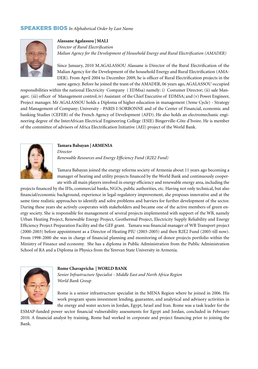## SPEAKERS BIOS *In Alphabetical Order by Last Name*



#### **Alassane Agalassou | MALI**

*Director of Rural Electrification Malian Agency for the Development of Household Energy and Rural Electrification (AMADER)* 

Since January, 2010 M.AGALASSOU Alassane is Director of the Rural Electrification of the Malian Agency for the Development of the household Energy and Rural Electrification (AMA-DER). From April 2004 to December 2009, he is officer of Rural Electrification projects in the same agency. Before he joined the team of the AMADER, 06 years ago, AGALASSOU occupied

responsibilities within the national Electricity Company ( EDMsa) namely: i) Costumer Director; (ii) sale Manager; (iii) officer of Management control; iv) Assistant of the Chief Executive of EDMSA; and (v) Power Engineer, Project manager. Mr AGALASSOU holds a Diploma of higher education in management (3eme Cycle) - Strategy and Management of Company; University - PARIS I-SORBONNE and of the Center of Financial, economic and banking Studies (CEFEB) of the French Agency of Development (AFD). He also holds an electromechanic engineering degree of the InterAfrican Electrical Engineering College (ESIE) Bingerville-Côte d'Ivoire. He is member of the committee of advisors of Africa Electrification Initiative (AEI) project of the World Bank.



#### **Tamara Babayan | ARMENIA**

*Director*

*Renewable Resources and Energy Efficiency Fund (R2E2 Fund)* 

Tamara Babayan joined the energy reforms society of Armenia about 11 years ago becoming a manager of heating and utility projects financed by the World Bank and continuously cooperate with all main players involved in energy efficiency and renewable energy area, including the

projects financed by the IFIs, commercial banks, NGOs, public authorities, etc. Having not only technical, but also financial/economic background, experience in legal-regulatory improvement, she proposes innovative and at the same time realistic approaches to identify and solve problems and barriers for further development of the sector. During these years she actively cooperates with stakeholders and became one of the active members of green energy society. She is responsible for management of several projects implemented with support of the WB, namely Urban Heating Project, Renewable Energy Project, Geothermal Project, Electricity Supply Reliability and Energy Efficiency Project Preparation Facility and the GEF grant. Tamara was financial manager of WB Transport project (2000-2003) before appointment as a Director of Heating PIU (2003-2005) and then R2E2 Fund (2005-till now). From 1998-2000 she was in charge of financial planning and monitoring of donor projects portfolio within the Ministry of Finance and economy. She has a diploma in Public Administration from the Public Administration School of RA and a Diploma in Physics from the Yerevan State University in Armenia.



#### **Rome Chavapricha | WORLD BANK**

*Senior Infrastructure Specialist - Middle East and North Africa Region World Bank Group*

Rome is a senior infrastructure specialist in the MENA Region where he joined in 2006. His work program spans investment lending, guarantee, and analytical and advisory activities in the energy and water sectors in Jordan, Egypt, Israel and Iran. Rome was a task leader for the

ESMAP-funded power sector financial vulnerability assessments for Egypt and Jordan, concluded in February 2010. A financial analyst by training, Rome had worked in corporate and project financing prior to joining the Bank.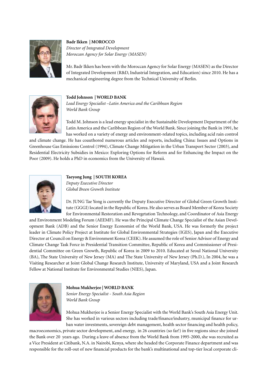

#### **Badr Ikken | MOROCCO**

*Director of Integrated Development Moroccan Agency for Solar Energy (MASEN)*

Mr. Badr Ikken has been with the Moroccan Agency for Solar Energy (MASEN) as the Director of Integrated Development (R&D, Industrial Integration, and Education) since 2010. He has a mechanical engineering degree from the Technical University of Berlin.



#### **Todd Johnson | WORLD BANK**

*Lead Energy Specialist –Latin America and the Caribbean Region World Bank Group*

Todd M. Johnson is a lead energy specialist in the Sustainable Development Department of the Latin America and the Caribbean Region of the World Bank. Since joining the Bank in 1991, he has worked on a variety of energy and environment-related topics, including acid rain control

and climate change. He has coauthored numerous articles and reports, including China: Issues and Options in Greenhouse Gas Emissions Control (1994), Climate Change Mitigation in the Urban Transport Sector (2003), and Residential Electricity Subsidies in Mexico: Exploring Options for Reform and for Enhancing the Impact on the Poor (2009). He holds a PhD in economics from the University of Hawaii.



#### **Taeyong Jung | SOUTH KOREA** *Deputy Executive Director Global Breen Growth Institute*

Dr. JUNG Tae Yong is currently the Deputy Executive Director of Global Green Growth Institute (GGGI) located in the Republic of Korea. He also serves as Board Member of Korea Society for Environmental Restoration and Revegetation Technology, and Coordinator of Asia Energy

and Environment Modeling Forum (AEEMF). He was the Principal Climate Change Specialist of the Asian Development Bank (ADB) and the Senior Energy Economist of the World Bank, USA. He was formerly the project leader in Climate Policy Project at Institute for Global Environmental Strategies (IGES), Japan and the Executive Director at Council on Energy & Environment Korea (CEEK). He assumed the role of Senior Advisor of Energy and Climate Change Task Force in Presidential Transition Committee, Republic of Korea and Commissioner of Presidential Committee on Green Growth, Republic of Korea in 2009 to 2010. Educated at Seoul National University (BA), The State University of New Jersey (MA) and The State University of New Jersey (Ph.D.), In 2004, he was a Visiting Researcher at Joint Global Change Research Institute, University of Maryland, USA and a Joint Research Fellow at National Institute for Environmental Studies (NIES), Japan.



#### **Mohua Mukherjee | WORLD BANK**

*Senior Energy Specialist - South Asia Region World Bank Group*

Mohua Mukherjee is a Senior Energy Specialist with the World Bank's South Asia Energy Unit. She has worked in various sectors including trade/finance/industry, municipal finance for urban water investments, sovereign debt management, health sector financing and health policy,

macroeconomics, private sector development, and energy, in 26 countries (so far!) in five regions since she joined the Bank over 20 years ago. During a leave of absence from the World Bank from 1995-2000, she was recruited as a Vice President at Citibank, N.A. in Nairobi, Kenya, where she headed the Corporate Finance department and was responsible for the roll-out of new financial products for the bank's multinational and top-tier local corporate cli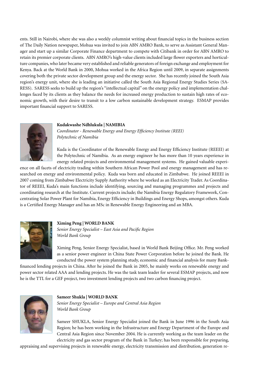ents. Still in Nairobi, where she was also a weekly columnist writing about financial topics in the business section of The Daily Nation newspaper, Mohua was invited to join ABN AMRO Bank, to serve as Assistant General Manager and start up a similar Corporate Finance department to compete with Citibank in order for ABN AMRO to retain its premier corporate clients. ABN AMRO's high-value clients included large flower exporters and horticulture companies, who later became very established and reliable generators of foreign exchange and employment for Kenya. Back at the World Bank in 2000, Mohua worked in the Africa Region until 2009, in separate assignments covering both the private sector development group and the energy sector. She has recently joined the South Asia region's energy unit, where she is leading an initiative called the South Asia Regional Energy Studies Series (SA-RESS). SARESS seeks to build up the region's "intellectual capital" on the energy policy and implementation challenges faced by its clients as they balance the needs for increased energy production to sustain high rates of economic growth, with their desire to transit to a low carbon sustainable development strategy. ESMAP provides important financial support to SARESS.

#### **Kudakwashe Ndhlukula | NAMIBIA**



*Coordinator - Renewable Energy and Energy Efficiency Institute (REEI) Polytechnic of Namibia* 

Kuda is the Coordinator of the Renewable Energy and Energy Efficiency Institute (REEEI) at the Polytechnic of Namibia. As an energy engineer he has more than 10 years experience in energy related projects and environmental management systems. He gained valuable experi-

ence on all facets of electricity trading within Southern African Power Pool and energy management and has researched on energy and environmental policy. Kuda was born and educated in Zimbabwe. He joined REEEI in 2007 coming from Zimbabwe Electricity Supply Authority where he worked as an Electricity Trader. As Coordinator of REEEI, Kuda's main functions include identifying, sourcing and managing programmes and projects and coordinating research at the Institute. Current projects include; the Namibia Energy Regulatory Framework, Concentrating Solar Power Plant for Namibia, Energy Efficiency in Buildings and Energy Shops, amongst others. Kuda is a Certified Energy Manager and has an MSc in Renewable Energy Engineering and an MBA.



#### **Ximing Peng | WORLD BANK**

*Senior Energy Specialist – East Asia and Pacific Region World Bank Group*

Ximing Peng, Senior Energy Specialist, based in World Bank Beijing Office. Mr. Peng worked as a senior power engineer in China State Power Corporation before he joined the Bank. He conducted the power system planning study, economic and financial analysis for many Bank-

financed lending projects in China. After he joined the Bank in 2005, he mainly works on renewable energy and power sector related AAA and lending projects. He was the task team leader for several ESMAP projects, and now he is the TTL for a GEF project, two investment lending projects and two carbon financing project.



#### **Sameer Shukla | WORLD BANK**

*Senior Energy Specialist – Europe and Central Asia Region World Bank Group*

Sameer SHUKLA, Senior Energy Specialist joined the Bank in June 1996 in the South Asia Region; he has been working in the Infrastructure and Energy Department of the Europe and Central Asia Region since November 2004. He is currently working as the team leader on the electricity and gas sector program of the Bank in Turkey; has been responsible for preparing,

appraising and supervising projects in renewable energy, electricity transmission and distribution, generation re-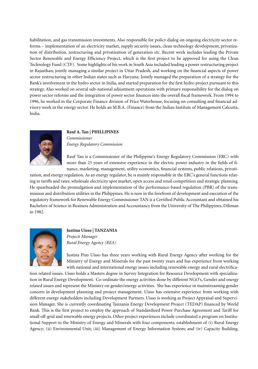habilitation, and gas transmission investments. Also responsible for policy dialog on ongoing electricity sector reforms – implementation of an electricity market, supply security issues, clean technology development, privatization of distribution, restructuring and privatization of generation etc. Recent work includes leading the Private Sector Renewable and Energy Efficiency Project, which is the first project to be approved for using the Clean Technology Fund (CTF). Some highlights of his work in South Asia included leading a power restructuring project in Rajasthan, jointly managing a similar project in Uttar Pradesh, and working on the financial aspects of power sector restructuring in other Indian states such as Haryana. Jointly managed the preparation of a strategy for the Bank's involvement in the hydro sector in India, and started preparation for the first hydro project pursuant to this strategy. Also worked on several sub-national adjustment operations with primary responsibility for the dialog on power sector reforms and the integration of power sector finances into the overall fiscal framework. From 1994 to 1996, he worked in the Corporate Finance division of Price Waterhouse, focusing on consulting and financial advisory work in the energy sector. He holds an M.B.A. (Finance) from the Indian Institute of Management Calcutta, India.



#### **Rauf A. Tan | PHILLIPINES** *Commissioner Energy Regulatory Commission*

Rauf Tan is a Commissioner of the Philippine's Energy Regulatory Commission (ERC) with more than 25 years of extensive experience in the electric power industry in the fields of finance, marketing, management, utility economics, financial systems, public relations, privati-

zation, and energy regulation. As an energy regulator, he is mainly responsible in the ERC's general functions relating to tariffs and rates, wholesale electricity spot market, open access and retail competition and strategic planning. He spearheaded the promulgation and implementation of the performance-based regulation (PBR) of the transmission and distribution utilities in the Philippines. He is now in the forefront of development and execution of the regulatory framework for Renewable Energy Commissioner TAN is a Certified Public Accountant and obtained his Bachelors of Science in Business Administration and Accountancy from the University of The Philippines, Diliman in 1982.



**Justina Uisso | TANZANIA** *Projects Manager Rural Energy Agency (REA)*

Justina Pius Uisso has three years working with Rural Energy Agency after working for the Ministry of Energy and Minerals for the past twenty years and has experience from working with national and international energy issues including renewable energy and rural electrifica-

tion related issues. Uisso holds a Masters degree in Survey Integration for Resource Development with specialization in Rural Energy Development. Co-ordinate the energy activities done by different NGO's, Gender and energy related issues and represent the Ministry on gender/energy activities. She has experience in mainstreaming gender concern in development planning and project management. Uisso has extensive experience from working with different energy stakeholders including Development Partners. Uisso is working as Project Appraisal and Supervision Manager. She is currently coordinating Tanzania Energy Development Project (TEDAP) financed by World Bank. This is the first project to employ the approach of Standardized Power Purchase Agreement and Tariff for small off-grid and renewable energy projects. Other project experiences include coordinated a program on Institutional Support to the Ministry of Energy and Minerals with four components; establishment of (i) Rural Energy Agency; (ii) Environmental Unit; (iii) Management of Energy Information System; and (iv) Capacity Building.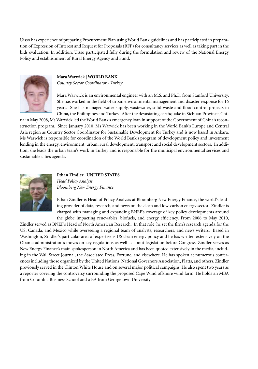Uisso has experience of preparing Procurement Plan using World Bank guidelines and has participated in preparation of Expression of Interest and Request for Proposals (RFP) for consultancy services as well as taking part in the bids evaluation. In addition, Uisso participated fully during the formulation and review of the National Energy Policy and establishment of Rural Energy Agency and Fund.



## **Mara Warwick | WORLD BANK**

*Country Sector Coordinator - Turkey*

Mara Warwick is an environmental engineer with an M.S. and Ph.D. from Stanford University. She has worked in the field of urban environmental management and disaster response for 16 years. She has managed water supply, wastewater, solid waste and flood control projects in China, the Philippines and Turkey. After the devastating earthquake in Sichuan Province, Chi-

na in May 2008, Ms Warwick led the World Bank's emergency loan in support of the Government of China's reconstruction program. Since January 2010, Ms Warwick has been working in the World Bank's Europe and Central Asia region as Country Sector Coordinator for Sustainable Development for Turkey and is now based in Ankara. Ms Warwick is responsible for coordination of the World Bank's program of development policy and investment lending in the energy, environment, urban, rural development, transport and social development sectors. In addition, she leads the urban team's work in Turkey and is responsible for the municipal environmental services and sustainable cities agenda.



#### **Ethan Zindler | UNITED STATES** *Head Policy Analyst Bloomberg New Energy Finance*

Ethan Zindler is Head of Policy Analysis at Bloomberg New Energy Finance, the world's leading provider of data, research, and news on the clean and low-carbon energy sector. Zindler is charged with managing and expanding BNEF's coverage of key policy developments around

the globe impacting renewables, biofuels, and energy efficiency. From 2006 to May 2010, Zindler served as BNEF's Head of North American Research. In that role, he set the firm's research agenda for the US, Canada, and Mexico while overseeing a regional team of analysts, researchers, and news writers. Based in Washington, Zindler's particular area of expertise is US clean energy policy and he has written extensively on the Obama administration's moves on key regulations as well as about legislation before Congress. Zindler serves as New Energy Finance's main spokesperson in North America and has been quoted extensively in the media, including in the Wall Street Journal, the Associated Press, Fortune, and elsewhere. He has spoken at numerous conferences including those organized by the United Nations, National Governors Association, Platts, and others. Zindler previously served in the Clinton White House and on several major political campaigns. He also spent two years as a reporter covering the controversy surrounding the proposed Cape Wind offshore wind farm. He holds an MBA from Columbia Business School and a BA from Georgetown University.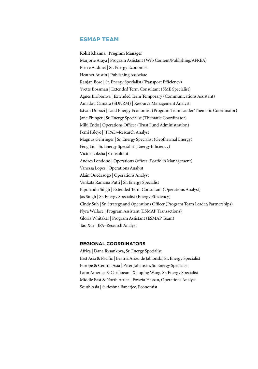## ESMAP TEAM

**Rohit Khanna | Program Manager**  Marjorie Araya | Program Assistant (Web Content/Publishing/AFREA) Pierre Audinet | Sr. Energy Economist Heather Austin | Publishing Associate Ranjan Bose | Sr. Energy Specialist (Transport Efficiency) Yvette Bossman | Extended Term Consultant (SME Specialist) Agnes Biribonwa | Extended Term Temporary (Communications Assistant) Amadou Camara (SDNRM) | Resource Management Analyst Istvan Dobozi | Lead Energy Economist (Program Team Leader/Thematic Coordinator) Jane Ebinger | Sr. Energy Specialist (Thematic Coordinator) Miki Endo | Operations Officer (Trust Fund Administration) Femi Faleye | JPPAD–Research Analyst Magnus Gehringer | Sr. Energy Specialist (Geothermal Energy) Feng Liu | Sr. Energy Specialist (Energy Efficiency) Victor Loksha | Consultant Andres Londono | Operations Officer (Portfolio Management) Vanessa Lopes | Operations Analyst Alain Ouedraogo | Operations Analyst Venkata Ramana Putti | Sr. Energy Specialist Bipulendu Singh | Extended Term Consultant (Operations Analyst) Jas Singh | Sr. Energy Specialist (Energy Efficiency) Cindy Suh | Sr. Strategy and Operations Officer (Program Team Leader/Partnerships) Nyra Wallace | Program Assistant (ESMAP Transactions) Gloria Whitaker | Program Assistant (ESMAP Team) Tao Xue | JPA–Research Analyst

## **Regional Coordinators**

Africa | Dana Rysankova, Sr. Energy Specialist East Asia & Pacific | Beatriz Arizu de Jablonski, Sr. Energy Specialist Europe & Central Asia | Peter Johansen, Sr. Energy Specialist Latin America & Caribbean | Xiaoping Wang, Sr. Energy Specialist Middle East & North Africa | Fowzia Hassan, Operations Analyst South Asia | Sudeshna Banerjee, Economist